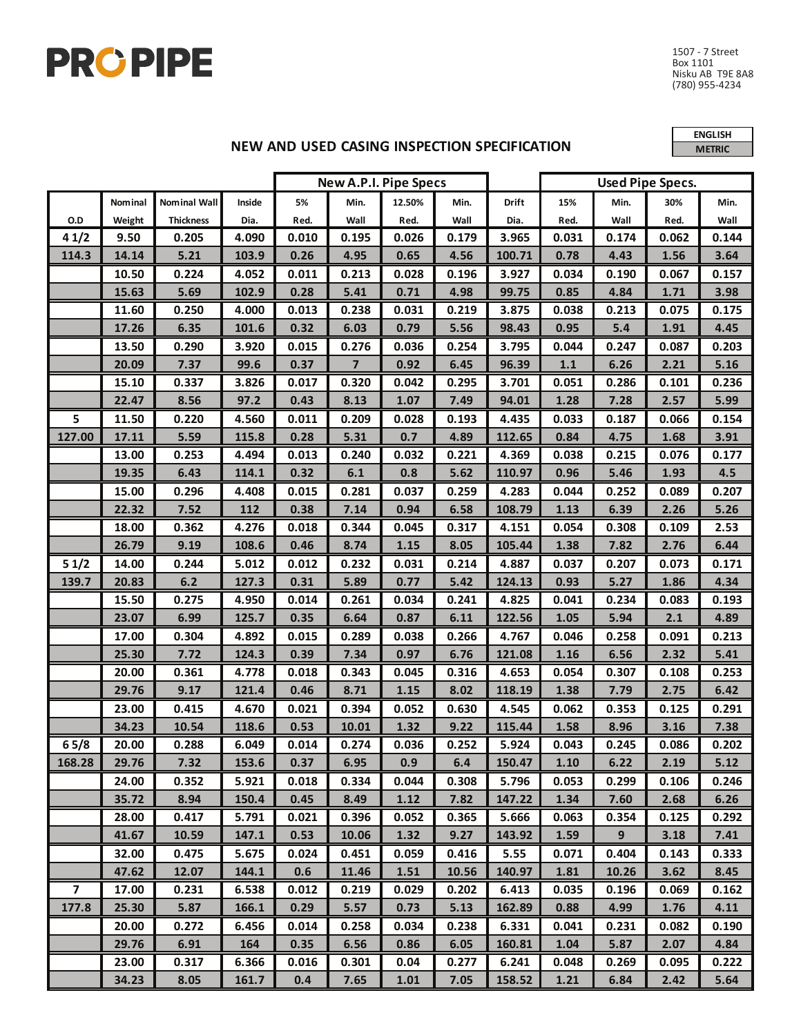

**NEW AND USED CASING INSPECTION SPECIFICATION** 

**ENGLISH METRIC**

|                |         |                  |        | <b>New A.P.I. Pipe Specs</b> |                |        |       |        | <b>Used Pipe Specs.</b> |       |       |       |
|----------------|---------|------------------|--------|------------------------------|----------------|--------|-------|--------|-------------------------|-------|-------|-------|
|                | Nominal | Nominal Wall     | Inside | 5%                           | Min.           | 12.50% | Min.  | Drift  | 15%                     | Min.  | 30%   | Min.  |
| O.D            | Weight  | <b>Thickness</b> | Dia.   | Red.                         | Wall           | Red.   | Wall  | Dia.   | Red.                    | Wall  | Red.  | Wall  |
| 41/2           | 9.50    | 0.205            | 4.090  | 0.010                        | 0.195          | 0.026  | 0.179 | 3.965  | 0.031                   | 0.174 | 0.062 | 0.144 |
| 114.3          | 14.14   | 5.21             | 103.9  | 0.26                         | 4.95           | 0.65   | 4.56  | 100.71 | 0.78                    | 4.43  | 1.56  | 3.64  |
|                | 10.50   | 0.224            | 4.052  | 0.011                        | 0.213          | 0.028  | 0.196 | 3.927  | 0.034                   | 0.190 | 0.067 | 0.157 |
|                | 15.63   | 5.69             | 102.9  | 0.28                         | 5.41           | 0.71   | 4.98  | 99.75  | 0.85                    | 4.84  | 1.71  | 3.98  |
|                | 11.60   | 0.250            | 4.000  | 0.013                        | 0.238          | 0.031  | 0.219 | 3.875  | 0.038                   | 0.213 | 0.075 | 0.175 |
|                | 17.26   | 6.35             | 101.6  | 0.32                         | 6.03           | 0.79   | 5.56  | 98.43  | 0.95                    | 5.4   | 1.91  | 4.45  |
|                | 13.50   | 0.290            | 3.920  | 0.015                        | 0.276          | 0.036  | 0.254 | 3.795  | 0.044                   | 0.247 | 0.087 | 0.203 |
|                | 20.09   | 7.37             | 99.6   | 0.37                         | $\overline{7}$ | 0.92   | 6.45  | 96.39  | $1.1\,$                 | 6.26  | 2.21  | 5.16  |
|                | 15.10   | 0.337            | 3.826  | 0.017                        | 0.320          | 0.042  | 0.295 | 3.701  | 0.051                   | 0.286 | 0.101 | 0.236 |
|                | 22.47   | 8.56             | 97.2   | 0.43                         | 8.13           | 1.07   | 7.49  | 94.01  | 1.28                    | 7.28  | 2.57  | 5.99  |
| 5              | 11.50   | 0.220            | 4.560  | 0.011                        | 0.209          | 0.028  | 0.193 | 4.435  | 0.033                   | 0.187 | 0.066 | 0.154 |
| 127.00         | 17.11   | 5.59             | 115.8  | 0.28                         | 5.31           | 0.7    | 4.89  | 112.65 | 0.84                    | 4.75  | 1.68  | 3.91  |
|                | 13.00   | 0.253            | 4.494  | 0.013                        | 0.240          | 0.032  | 0.221 | 4.369  | 0.038                   | 0.215 | 0.076 | 0.177 |
|                | 19.35   | 6.43             | 114.1  | 0.32                         | 6.1            | 0.8    | 5.62  | 110.97 | 0.96                    | 5.46  | 1.93  | 4.5   |
|                | 15.00   | 0.296            | 4.408  | 0.015                        | 0.281          | 0.037  | 0.259 | 4.283  | 0.044                   | 0.252 | 0.089 | 0.207 |
|                | 22.32   | 7.52             | 112    | 0.38                         | 7.14           | 0.94   | 6.58  | 108.79 | 1.13                    | 6.39  | 2.26  | 5.26  |
|                | 18.00   | 0.362            | 4.276  | 0.018                        | 0.344          | 0.045  | 0.317 | 4.151  | 0.054                   | 0.308 | 0.109 | 2.53  |
|                | 26.79   | 9.19             | 108.6  | 0.46                         | 8.74           | 1.15   | 8.05  | 105.44 | 1.38                    | 7.82  | 2.76  | 6.44  |
| 51/2           | 14.00   | 0.244            | 5.012  | 0.012                        | 0.232          | 0.031  | 0.214 | 4.887  | 0.037                   | 0.207 | 0.073 | 0.171 |
| 139.7          | 20.83   | 6.2              | 127.3  | 0.31                         | 5.89           | 0.77   | 5.42  | 124.13 | 0.93                    | 5.27  | 1.86  | 4.34  |
|                | 15.50   | 0.275            | 4.950  | 0.014                        | 0.261          | 0.034  | 0.241 | 4.825  | 0.041                   | 0.234 | 0.083 | 0.193 |
|                | 23.07   | 6.99             | 125.7  | 0.35                         | 6.64           | 0.87   | 6.11  | 122.56 | 1.05                    | 5.94  | 2.1   | 4.89  |
|                | 17.00   | 0.304            | 4.892  | 0.015                        | 0.289          | 0.038  | 0.266 | 4.767  | 0.046                   | 0.258 | 0.091 | 0.213 |
|                | 25.30   | 7.72             | 124.3  | 0.39                         | 7.34           | 0.97   | 6.76  | 121.08 | 1.16                    | 6.56  | 2.32  | 5.41  |
|                | 20.00   | 0.361            | 4.778  | 0.018                        | 0.343          | 0.045  | 0.316 | 4.653  | 0.054                   | 0.307 | 0.108 | 0.253 |
|                | 29.76   | 9.17             | 121.4  | 0.46                         | 8.71           | 1.15   | 8.02  | 118.19 | 1.38                    | 7.79  | 2.75  | 6.42  |
|                | 23.00   | 0.415            | 4.670  | 0.021                        | 0.394          | 0.052  | 0.630 | 4.545  | 0.062                   | 0.353 | 0.125 | 0.291 |
|                | 34.23   | 10.54            | 118.6  | 0.53                         | 10.01          | 1.32   | 9.22  | 115.44 | 1.58                    | 8.96  | 3.16  | 7.38  |
| 65/8           | 20.00   | 0.288            | 6.049  | 0.014                        | 0.274          | 0.036  | 0.252 | 5.924  | 0.043                   | 0.245 | 0.086 | 0.202 |
| 168.28         | 29.76   | 7.32             | 153.6  | 0.37                         | 6.95           | 0.9    | 6.4   | 150.47 | $1.10\,$                | 6.22  | 2.19  | 5.12  |
|                | 24.00   | 0.352            | 5.921  | 0.018                        | 0.334          | 0.044  | 0.308 | 5.796  | 0.053                   | 0.299 | 0.106 | 0.246 |
|                | 35.72   | 8.94             | 150.4  | 0.45                         | 8.49           | 1.12   | 7.82  | 147.22 | 1.34                    | 7.60  | 2.68  | 6.26  |
|                | 28.00   | 0.417            | 5.791  | 0.021                        | 0.396          | 0.052  | 0.365 | 5.666  | 0.063                   | 0.354 | 0.125 | 0.292 |
|                | 41.67   | 10.59            | 147.1  | 0.53                         | 10.06          | 1.32   | 9.27  | 143.92 | 1.59                    | 9     | 3.18  | 7.41  |
|                | 32.00   | 0.475            | 5.675  | 0.024                        | 0.451          | 0.059  | 0.416 | 5.55   | 0.071                   | 0.404 | 0.143 | 0.333 |
|                | 47.62   | 12.07            | 144.1  | 0.6                          | 11.46          | 1.51   | 10.56 | 140.97 | 1.81                    | 10.26 | 3.62  | 8.45  |
| $\overline{7}$ | 17.00   | 0.231            | 6.538  | 0.012                        | 0.219          | 0.029  | 0.202 | 6.413  | 0.035                   | 0.196 | 0.069 | 0.162 |
| 177.8          | 25.30   | 5.87             | 166.1  | 0.29                         | 5.57           | 0.73   | 5.13  | 162.89 | 0.88                    | 4.99  | 1.76  | 4.11  |
|                | 20.00   | 0.272            | 6.456  | 0.014                        | 0.258          | 0.034  | 0.238 | 6.331  | 0.041                   | 0.231 | 0.082 | 0.190 |
|                | 29.76   | 6.91             | 164    | 0.35                         | 6.56           | 0.86   | 6.05  | 160.81 | 1.04                    | 5.87  | 2.07  | 4.84  |
|                | 23.00   | 0.317            | 6.366  | 0.016                        | 0.301          | 0.04   | 0.277 | 6.241  | 0.048                   | 0.269 | 0.095 | 0.222 |
|                | 34.23   | 8.05             | 161.7  | 0.4                          | 7.65           | 1.01   | 7.05  | 158.52 | 1.21                    | 6.84  | 2.42  | 5.64  |